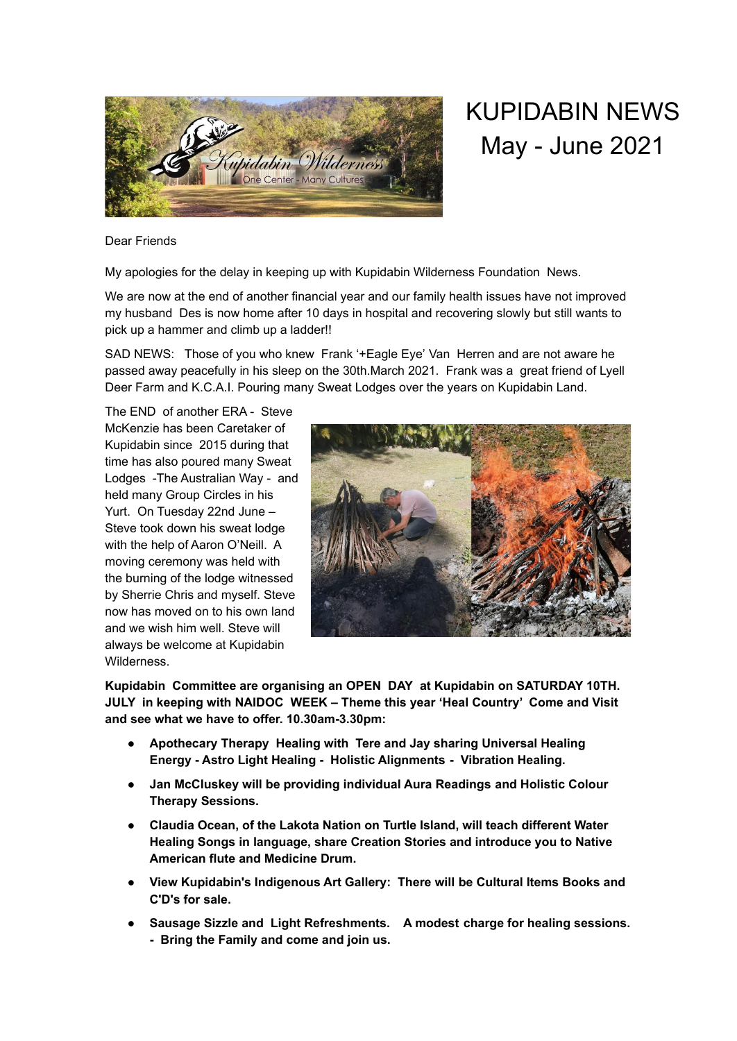

## KUPIDABIN NEWS May - June 2021

Dear Friends

My apologies for the delay in keeping up with Kupidabin Wilderness Foundation News.

We are now at the end of another financial year and our family health issues have not improved my husband Des is now home after 10 days in hospital and recovering slowly but still wants to pick up a hammer and climb up a ladder!!

SAD NEWS: Those of you who knew Frank '+Eagle Eye' Van Herren and are not aware he passed away peacefully in his sleep on the 30th.March 2021. Frank was a great friend of Lyell Deer Farm and K.C.A.I. Pouring many Sweat Lodges over the years on Kupidabin Land.

The END of another ERA - Steve McKenzie has been Caretaker of Kupidabin since 2015 during that time has also poured many Sweat Lodges -The Australian Way - and held many Group Circles in his Yurt. On Tuesday 22nd June – Steve took down his sweat lodge with the help of Aaron O'Neill. A moving ceremony was held with the burning of the lodge witnessed by Sherrie Chris and myself. Steve now has moved on to his own land and we wish him well. Steve will always be welcome at Kupidabin Wilderness.



**Kupidabin Committee are organising an OPEN DAY at Kupidabin on SATURDAY 10TH. JULY in keeping with NAIDOC WEEK – Theme this year 'Heal Country' Come and Visit and see what we have to offer. 10.30am-3.30pm:**

- **Apothecary Therapy Healing with Tere and Jay sharing Universal Healing Energy - Astro Light Healing - Holistic Alignments - Vibration Healing.**
- **Jan McCluskey will be providing individual Aura Readings and Holistic Colour Therapy Sessions.**
- **Claudia Ocean, of the Lakota Nation on Turtle Island, will teach different Water Healing Songs in language, share Creation Stories and introduce you to Native American flute and Medicine Drum.**
- **View Kupidabin's Indigenous Art Gallery: There will be Cultural Items Books and C'D's for sale.**
- **Sausage Sizzle and Light Refreshments. A modest charge for healing sessions. - Bring the Family and come and join us.**